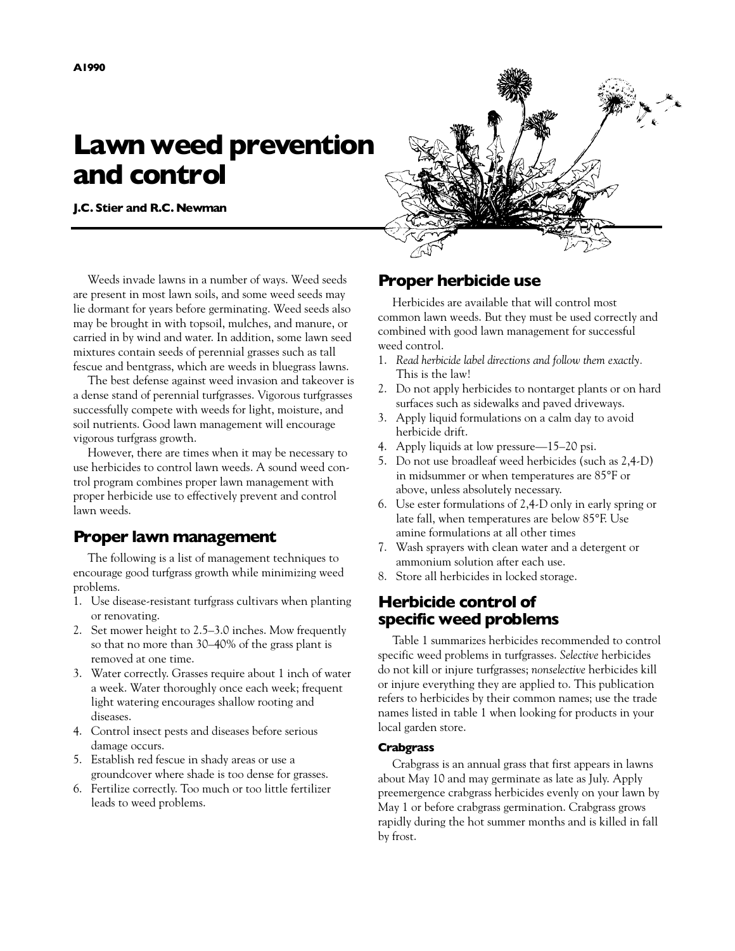# **Lawn weed prevention and control**

**J.C. Stier and R.C. Newman**



Weeds invade lawns in a number of ways. Weed seeds are present in most lawn soils, and some weed seeds may lie dormant for years before germinating. Weed seeds also may be brought in with topsoil, mulches, and manure, or carried in by wind and water. In addition, some lawn seed mixtures contain seeds of perennial grasses such as tall fescue and bentgrass, which are weeds in bluegrass lawns.

The best defense against weed invasion and takeover is a dense stand of perennial turfgrasses. Vigorous turfgrasses successfully compete with weeds for light, moisture, and soil nutrients. Good lawn management will encourage vigorous turfgrass growth.

However, there are times when it may be necessary to use herbicides to control lawn weeds. A sound weed control program combines proper lawn management with proper herbicide use to effectively prevent and control lawn weeds.

# **Proper lawn management**

The following is a list of management techniques to encourage good turfgrass growth while minimizing weed problems.

- 1. Use disease-resistant turfgrass cultivars when planting or renovating.
- 2. Set mower height to 2.5–3.0 inches. Mow frequently so that no more than 30–40% of the grass plant is removed at one time.
- 3. Water correctly. Grasses require about 1 inch of water a week. Water thoroughly once each week; frequent light watering encourages shallow rooting and diseases.
- 4. Control insect pests and diseases before serious damage occurs.
- 5. Establish red fescue in shady areas or use a groundcover where shade is too dense for grasses.
- 6. Fertilize correctly. Too much or too little fertilizer leads to weed problems.

# **Proper herbicide use**

Herbicides are available that will control most common lawn weeds. But they must be used correctly and combined with good lawn management for successful weed control.

- 1. *Read herbicide label directions and follow them exactly.* This is the law!
- 2. Do not apply herbicides to nontarget plants or on hard surfaces such as sidewalks and paved driveways.
- 3. Apply liquid formulations on a calm day to avoid herbicide drift.
- 4. Apply liquids at low pressure—15–20 psi.
- 5. Do not use broadleaf weed herbicides (such as 2,4-D) in midsummer or when temperatures are 85°F or above, unless absolutely necessary.
- 6. Use ester formulations of 2,4-D only in early spring or late fall, when temperatures are below 85°F. Use amine formulations at all other times
- 7. Wash sprayers with clean water and a detergent or ammonium solution after each use.
- 8. Store all herbicides in locked storage.

# **Herbicide control of specific weed problems**

Table 1 summarizes herbicides recommended to control specific weed problems in turfgrasses. *Selective* herbicides do not kill or injure turfgrasses; *nonselective* herbicides kill or injure everything they are applied to. This publication refers to herbicides by their common names; use the trade names listed in table 1 when looking for products in your local garden store.

# **Crabgrass**

Crabgrass is an annual grass that first appears in lawns about May 10 and may germinate as late as July. Apply preemergence crabgrass herbicides evenly on your lawn by May 1 or before crabgrass germination. Crabgrass grows rapidly during the hot summer months and is killed in fall by frost.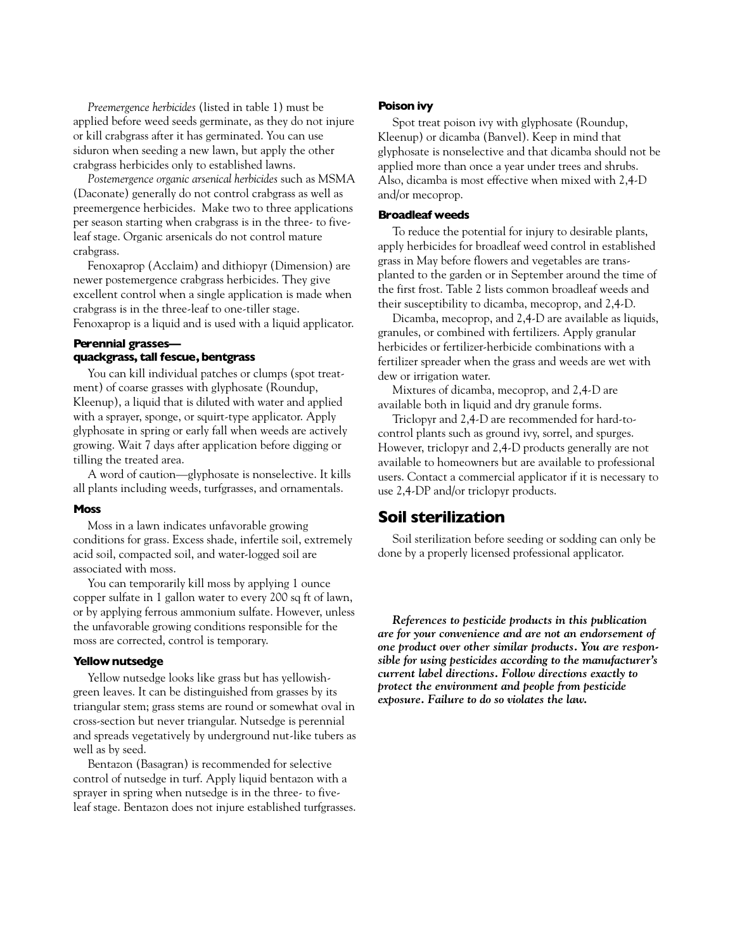*Preemergence herbicides* (listed in table 1) must be applied before weed seeds germinate, as they do not injure or kill crabgrass after it has germinated. You can use siduron when seeding a new lawn, but apply the other crabgrass herbicides only to established lawns.

*Postemergence organic arsenical herbicides* such as MSMA (Daconate) generally do not control crabgrass as well as preemergence herbicides. Make two to three applications per season starting when crabgrass is in the three- to fiveleaf stage. Organic arsenicals do not control mature crabgrass.

Fenoxaprop (Acclaim) and dithiopyr (Dimension) are newer postemergence crabgrass herbicides. They give excellent control when a single application is made when crabgrass is in the three-leaf to one-tiller stage. Fenoxaprop is a liquid and is used with a liquid applicator.

# **Perennial grasses quackgrass, tall fescue,bentgrass**

You can kill individual patches or clumps (spot treatment) of coarse grasses with glyphosate (Roundup, Kleenup), a liquid that is diluted with water and applied with a sprayer, sponge, or squirt-type applicator. Apply glyphosate in spring or early fall when weeds are actively growing. Wait 7 days after application before digging or tilling the treated area.

A word of caution—glyphosate is nonselective. It kills all plants including weeds, turfgrasses, and ornamentals.

# **Moss**

Moss in a lawn indicates unfavorable growing conditions for grass. Excess shade, infertile soil, extremely acid soil, compacted soil, and water-logged soil are associated with moss.

You can temporarily kill moss by applying 1 ounce copper sulfate in 1 gallon water to every 200 sq ft of lawn, or by applying ferrous ammonium sulfate. However, unless the unfavorable growing conditions responsible for the moss are corrected, control is temporary.

#### **Yellow nutsedge**

Yellow nutsedge looks like grass but has yellowishgreen leaves. It can be distinguished from grasses by its triangular stem; grass stems are round or somewhat oval in cross-section but never triangular. Nutsedge is perennial and spreads vegetatively by underground nut-like tubers as well as by seed.

Bentazon (Basagran) is recommended for selective control of nutsedge in turf. Apply liquid bentazon with a sprayer in spring when nutsedge is in the three- to fiveleaf stage. Bentazon does not injure established turfgrasses.

## **Poison ivy**

Spot treat poison ivy with glyphosate (Roundup, Kleenup) or dicamba (Banvel). Keep in mind that glyphosate is nonselective and that dicamba should not be applied more than once a year under trees and shrubs. Also, dicamba is most effective when mixed with 2,4-D and/or mecoprop.

## **Broadleaf weeds**

To reduce the potential for injury to desirable plants, apply herbicides for broadleaf weed control in established grass in May before flowers and vegetables are transplanted to the garden or in September around the time of the first frost. Table 2 lists common broadleaf weeds and their susceptibility to dicamba, mecoprop, and 2,4-D.

Dicamba, mecoprop, and 2,4-D are available as liquids, granules, or combined with fertilizers. Apply granular herbicides or fertilizer-herbicide combinations with a fertilizer spreader when the grass and weeds are wet with dew or irrigation water.

Mixtures of dicamba, mecoprop, and 2,4-D are available both in liquid and dry granule forms.

Triclopyr and 2,4-D are recommended for hard-tocontrol plants such as ground ivy, sorrel, and spurges. However, triclopyr and 2,4-D products generally are not available to homeowners but are available to professional users. Contact a commercial applicator if it is necessary to use 2,4-DP and/or triclopyr products.

# **Soil sterilization**

Soil sterilization before seeding or sodding can only be done by a properly licensed professional applicator.

*References to pesticide products in this publication are for your convenience and are not an endorsement of one product over other similar products. You are responsible for using pesticides according to the manufacturer's current label directions. Follow directions exactly to protect the environment and people from pesticide exposure. Failure to do so violates the law.*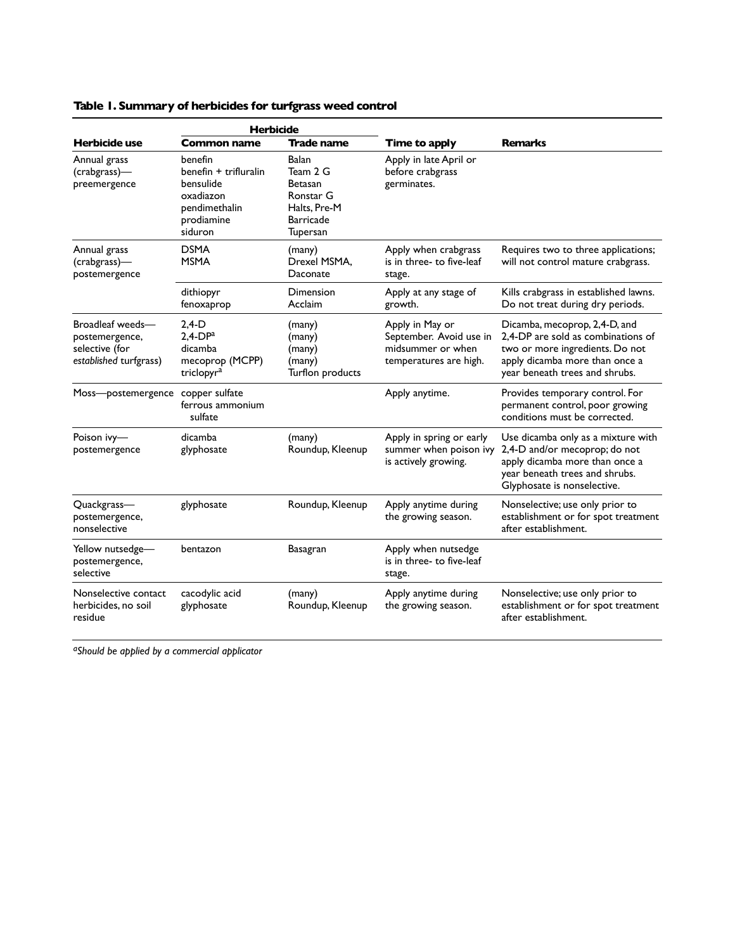|                                                                                | <b>Herbicide</b>                                                                                     |                                                                                           |                                                                                           |                                                                                                                                                                            |
|--------------------------------------------------------------------------------|------------------------------------------------------------------------------------------------------|-------------------------------------------------------------------------------------------|-------------------------------------------------------------------------------------------|----------------------------------------------------------------------------------------------------------------------------------------------------------------------------|
| Herbicide use                                                                  | <b>Common name</b>                                                                                   | <b>Trade name</b>                                                                         | Time to apply                                                                             | <b>Remarks</b>                                                                                                                                                             |
| Annual grass<br>(crabgrass)-<br>preemergence                                   | benefin<br>benefin + trifluralin<br>bensulide<br>oxadiazon<br>pendimethalin<br>prodiamine<br>siduron | Balan<br>Team 2 G<br>Betasan<br>Ronstar G<br>Halts, Pre-M<br><b>Barricade</b><br>Tupersan | Apply in late April or<br>before crabgrass<br>germinates.                                 |                                                                                                                                                                            |
| Annual grass<br>(crabgrass)-<br>postemergence                                  | <b>DSMA</b><br><b>MSMA</b>                                                                           | (many)<br>Drexel MSMA,<br>Daconate                                                        | Apply when crabgrass<br>is in three- to five-leaf<br>stage.                               | Requires two to three applications;<br>will not control mature crabgrass.                                                                                                  |
|                                                                                | dithiopyr<br>fenoxaprop                                                                              | Dimension<br>Acclaim                                                                      | Apply at any stage of<br>growth.                                                          | Kills crabgrass in established lawns.<br>Do not treat during dry periods.                                                                                                  |
| Broadleaf weeds-<br>postemergence,<br>selective (for<br>established turfgrass) | $2,4-D$<br>$2.4-DPa$<br>dicamba<br>mecoprop (MCPP)<br>triclopyr <sup>a</sup>                         | (many)<br>(many)<br>(many)<br>(many)<br>Turflon products                                  | Apply in May or<br>September. Avoid use in<br>midsummer or when<br>temperatures are high. | Dicamba, mecoprop, 2,4-D, and<br>2.4-DP are sold as combinations of<br>two or more ingredients. Do not<br>apply dicamba more than once a<br>year beneath trees and shrubs. |
| Moss-postemergence copper sulfate                                              | ferrous ammonium<br>sulfate                                                                          |                                                                                           | Apply anytime.                                                                            | Provides temporary control. For<br>permanent control, poor growing<br>conditions must be corrected.                                                                        |
| Poison ivy-<br>postemergence                                                   | dicamba<br>glyphosate                                                                                | (many)<br>Roundup, Kleenup                                                                | Apply in spring or early<br>summer when poison ivy<br>is actively growing.                | Use dicamba only as a mixture with<br>2,4-D and/or mecoprop; do not<br>apply dicamba more than once a<br>year beneath trees and shrubs.<br>Glyphosate is nonselective.     |
| Quackgrass-<br>postemergence,<br>nonselective                                  | glyphosate                                                                                           | Roundup, Kleenup                                                                          | Apply anytime during<br>the growing season.                                               | Nonselective; use only prior to<br>establishment or for spot treatment<br>after establishment.                                                                             |
| Yellow nutsedge-<br>postemergence,<br>selective                                | bentazon                                                                                             | <b>Basagran</b>                                                                           | Apply when nutsedge<br>is in three- to five-leaf<br>stage.                                |                                                                                                                                                                            |
| Nonselective contact<br>herbicides, no soil<br>residue                         | cacodylic acid<br>glyphosate                                                                         | (many)<br>Roundup, Kleenup                                                                | Apply anytime during<br>the growing season.                                               | Nonselective; use only prior to<br>establishment or for spot treatment<br>after establishment.                                                                             |

# **Table 1. Summary of herbicides for turfgrass weed control**

*aShould be applied by a commercial applicator*